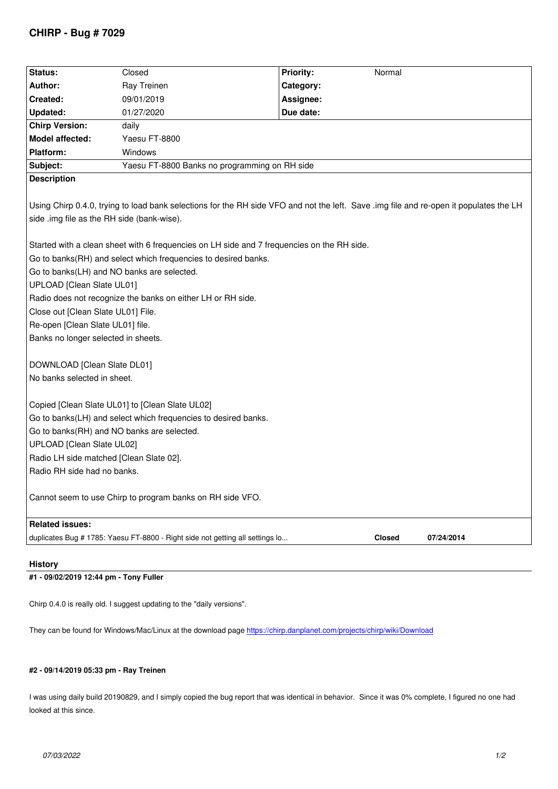| Status:                                                                                                                                | Closed                                                                        | <b>Priority:</b> | Normal        |            |
|----------------------------------------------------------------------------------------------------------------------------------------|-------------------------------------------------------------------------------|------------------|---------------|------------|
| Author:                                                                                                                                | Ray Treinen                                                                   | Category:        |               |            |
| Created:                                                                                                                               | 09/01/2019                                                                    | Assignee:        |               |            |
| Updated:                                                                                                                               | 01/27/2020                                                                    | Due date:        |               |            |
| <b>Chirp Version:</b>                                                                                                                  | daily                                                                         |                  |               |            |
| Model affected:                                                                                                                        | Yaesu FT-8800                                                                 |                  |               |            |
| <b>Platform:</b>                                                                                                                       | Windows                                                                       |                  |               |            |
| Subject:                                                                                                                               | Yaesu FT-8800 Banks no programming on RH side                                 |                  |               |            |
| <b>Description</b>                                                                                                                     |                                                                               |                  |               |            |
|                                                                                                                                        |                                                                               |                  |               |            |
| Using Chirp 0.4.0, trying to load bank selections for the RH side VFO and not the left. Save .img file and re-open it populates the LH |                                                                               |                  |               |            |
| side .img file as the RH side (bank-wise).                                                                                             |                                                                               |                  |               |            |
|                                                                                                                                        |                                                                               |                  |               |            |
| Started with a clean sheet with 6 frequencies on LH side and 7 frequencies on the RH side.                                             |                                                                               |                  |               |            |
| Go to banks(RH) and select which frequencies to desired banks.                                                                         |                                                                               |                  |               |            |
| Go to banks(LH) and NO banks are selected.                                                                                             |                                                                               |                  |               |            |
| UPLOAD [Clean Slate UL01]                                                                                                              |                                                                               |                  |               |            |
| Radio does not recognize the banks on either LH or RH side.                                                                            |                                                                               |                  |               |            |
| Close out [Clean Slate UL01] File.                                                                                                     |                                                                               |                  |               |            |
| Re-open [Clean Slate UL01] file.                                                                                                       |                                                                               |                  |               |            |
| Banks no longer selected in sheets.                                                                                                    |                                                                               |                  |               |            |
|                                                                                                                                        |                                                                               |                  |               |            |
| DOWNLOAD [Clean Slate DL01]                                                                                                            |                                                                               |                  |               |            |
| No banks selected in sheet.                                                                                                            |                                                                               |                  |               |            |
|                                                                                                                                        |                                                                               |                  |               |            |
| Copied [Clean Slate UL01] to [Clean Slate UL02]                                                                                        |                                                                               |                  |               |            |
| Go to banks(LH) and select which frequencies to desired banks.                                                                         |                                                                               |                  |               |            |
| Go to banks(RH) and NO banks are selected.                                                                                             |                                                                               |                  |               |            |
| UPLOAD [Clean Slate UL02]                                                                                                              |                                                                               |                  |               |            |
| Radio LH side matched [Clean Slate 02].                                                                                                |                                                                               |                  |               |            |
| Radio RH side had no banks.                                                                                                            |                                                                               |                  |               |            |
|                                                                                                                                        | Cannot seem to use Chirp to program banks on RH side VFO.                     |                  |               |            |
|                                                                                                                                        |                                                                               |                  |               |            |
| <b>Related issues:</b>                                                                                                                 |                                                                               |                  |               |            |
|                                                                                                                                        | duplicates Bug # 1785: Yaesu FT-8800 - Right side not getting all settings lo |                  | <b>Closed</b> | 07/24/2014 |
|                                                                                                                                        |                                                                               |                  |               |            |
|                                                                                                                                        |                                                                               |                  |               |            |

## **History**

## **#1 - 09/02/2019 12:44 pm - Tony Fuller**

*Chirp 0.4.0 is really old. I suggest updating to the "daily versions".*

*They can be found for Windows/Mac/Linux at the download page https://chirp.danplanet.com/projects/chirp/wiki/Download*

## **#2 - 09/14/2019 05:33 pm - Ray Treinen**

*I was using daily build 20190829, and I simply copied the bug report that was identical in behavior. Since it was 0% complete, I figured no one had looked at this since.*